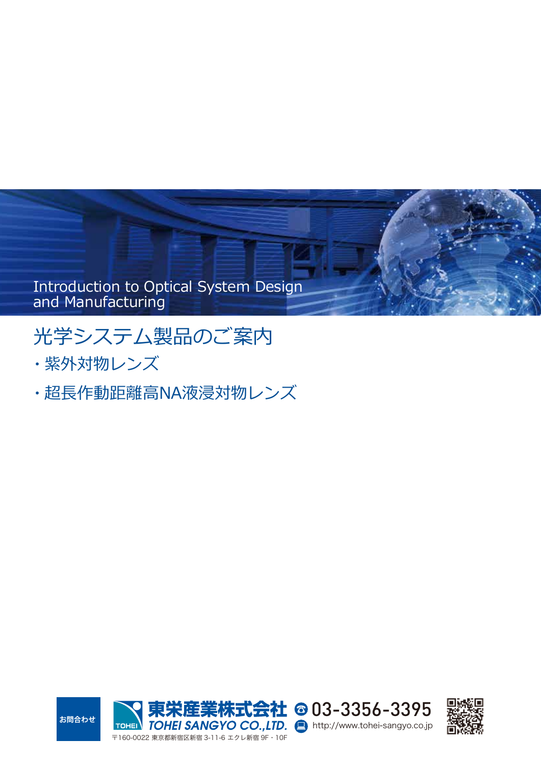

# 光学システム製品のご案内

- ・紫外対物レンズ
- ・超長作動距離高NA液浸対物レンズ



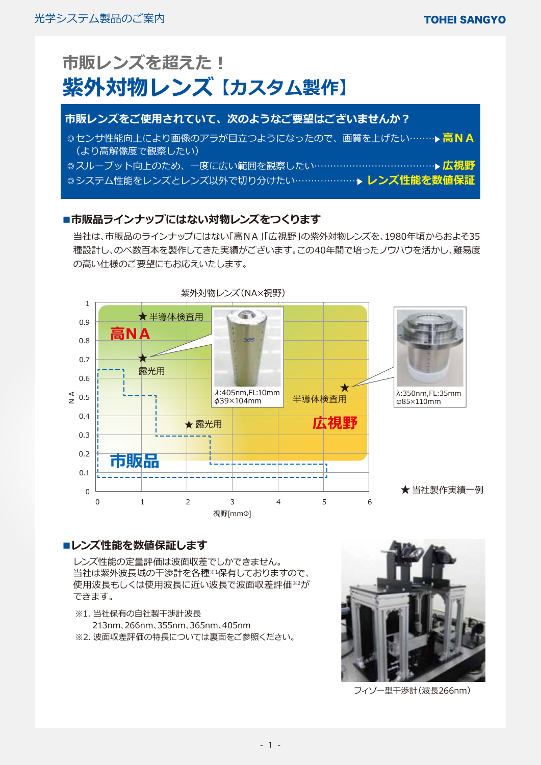| 市販レンズを超えた!<br>紫外対物レンズ【カスタム製作】                                                                  |
|------------------------------------------------------------------------------------------------|
| 市販レンズをご使用されていて、次のようなご要望はございませんか?                                                               |
| ◎センサ性能向上により画像のアラが目立つようになったので、画質を上げたい………▶ <mark>高NA</mark><br>(より高解像度で観察したい)                    |
| ◎スループット向上のため、一度に広い範囲を観察したい…………………………………… ▶ 広視野<br> ◎システム性能をレンズとレンズ以外で切り分けたい…………………→ レンズ性能を数値保証 |

## ■市販品ラインナップにはない対物レンズをつくります

当社は、市販品のラインナップにはない「高NA」「広視野」の紫外対物レンズを、1980年頃からおよそ35 種設計し、のべ数百本を製作してきた実績がございます。この40年間で培ったノウハウを活かし、難易度 の高い仕様のご要望にもお応えいたします。



## **■レンズ性能を数値保証します**

レンズ性能の定量評価は波面収差でしかできません。 当社は紫外波長域の干渉計を各種※1保有しておりますので、 使用波長もしくは使用波長に近い波長で波面収差評価※2が できます。

- ※1. 当社保有の自社製干渉計波長 213nm、266nm、355nm、365nm、405nm
- ※2. 波面収差評価の特長については裏面をご参照ください。



フィゾー型干渉計(波長266nm)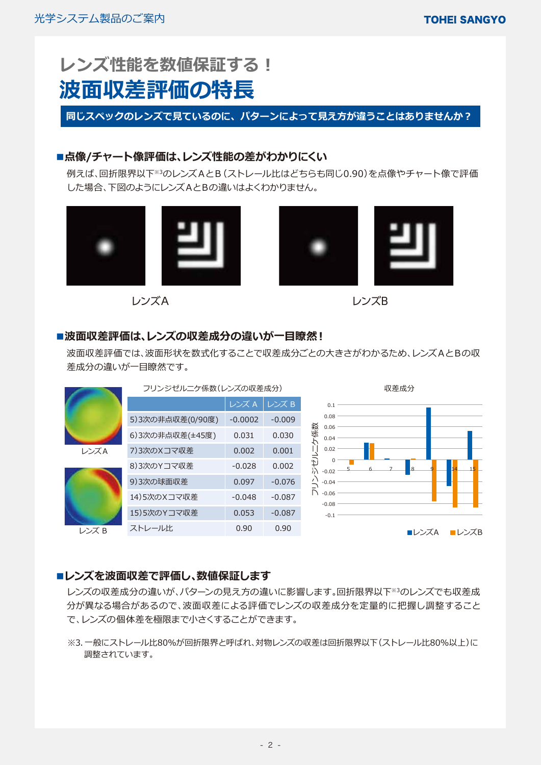# **レンズ性能を数値保証する! 波面収差評価の特長**

**同じスペックのレンズで見ているのに、パターンによって見え方が違うことはありませんか?**

## **■点像/チャート像評価は、レンズ性能の差がわかりにくい**

例えば、回折限界以下※3のレンズAとB(ストレール比はどちらも同じ0.90)を点像やチャート像で評価 した場合、下図のようにレンズAとBの違いはよくわかりません。



レンズA レンズB



## **■波面収差評価は、レンズの収差成分の違いが一目瞭然!**

波面収差評価では、波面形状を数式化することで収差成分ごとの大きさがわかるため、レンズAとBの収 差成分の違いが一目瞭然です。

|       | フリンジゼルニケ係数(レンズの収差成分) |           |          | 収差成分                                        |
|-------|----------------------|-----------|----------|---------------------------------------------|
|       |                      | レンズ A     | レンズ B    | 0.1                                         |
|       | 5) 3次の非点収差(0/90度)    | $-0.0002$ | $-0.009$ | 0.08<br>0.06                                |
|       | 6) 3次の非点収差(±45度)     | 0.031     | 0.030    | 係数<br>0.04                                  |
| レンズA  | 7) 3次のXコマ収差          | 0.002     | 0.001    | 0.02                                        |
|       | 8) 3次のYコマ収差          | $-0.028$  | 0.002    | ジゼ<br>$\Omega$<br>$\overline{8}$<br>$-0.02$ |
|       | 9)3次の球面収差            | 0.097     | $-0.076$ | $\prime$<br>$-0.04$                         |
|       | 14)5次のXコマ収差          | $-0.048$  | $-0.087$ | N<br>$-0.06$<br>$-0.08$                     |
|       | 15)5次のYコマ収差          | 0.053     | $-0.087$ | $-0.1$                                      |
| レンズ B | ストレール比               | 0.90      | 0.90     | ■レンズB<br>■レンズA                              |

## **■レンズを波面収差で評価し、数値保証します**

レンズの収差成分の違いが、パターンの見え方の違いに影響します。回折限界以下※3のレンズでも収差成 分が異なる場合があるので、波面収差による評価でレンズの収差成分を定量的に把握し調整すること で、レンズの個体差を極限まで小さくすることができます。

※3. 一般にストレール比80%が回折限界と呼ばれ、対物レンズの収差は回折限界以下(ストレール比80%以上)に 調整されています。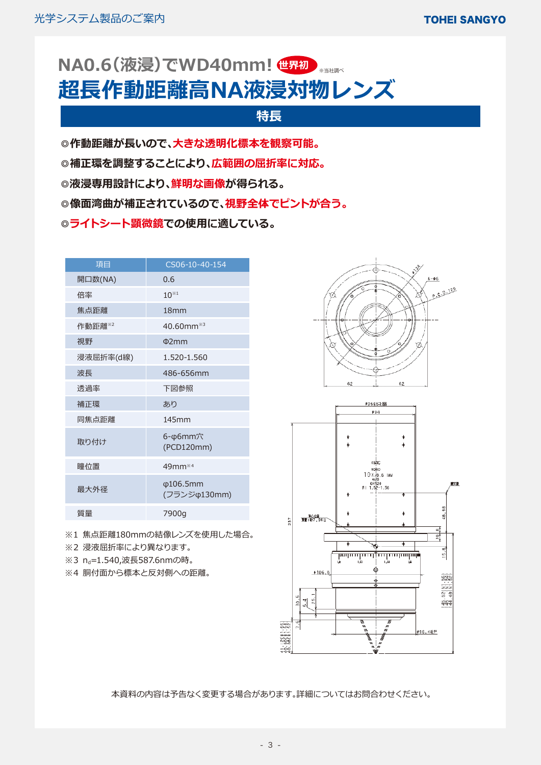# NA0.6(次浸*)* でWD40mm! 世界初入 <sub>※当社調べ</sub> **超長作動距離高NA液浸対物レンズ**

## **特長**

**◎作動距離が長いので、大きな透明化標本を観察可能。**

- **◎補正環を調整することにより、広範囲の屈折率に対応。**
- **◎液浸専用設計により、鮮明な画像が得られる。**
- **◎像面湾曲が補正されているので、視野全体でピントが合う。**
- **◎ライトシート顕微鏡での使用に適している。**

| 項目        | CS06-10-40-154                  |
|-----------|---------------------------------|
| 開口数(NA)   | 0.6                             |
| 倍率        | $10^{*1}$                       |
| 焦点距離      | 18 <sub>mm</sub>                |
| 作動距離※2    | $40.60$ mm $*3$                 |
| 視野        | $\Phi$ 2mm                      |
| 浸液屈折率(d線) | 1.520-1.560                     |
| 波長        | 486-656mm                       |
| 透過率       | 下図参照                            |
| 補正環       | あり                              |
| 同焦点距離     | 145mm                           |
| 取り付け      | 6-φ6mm穴<br>(PCD120mm)           |
| 瞳位置       | 49mm <sup>*4</sup>              |
| 最大外径      | $\phi$ 106.5mm<br>(フランジ φ130mm) |
| 質量        | 7900g                           |

※1 焦点距離180mmの結像レンズを使用した場合。

- ※2 浸液屈折率により異なります。
- ※3 n<sub>d</sub>=1.540,波長587.6nmの時。
- ※4 胴付面から標本と反対側への距離。



本資料の内容は予告なく変更する場合があります。詳細についてはお問合わせください。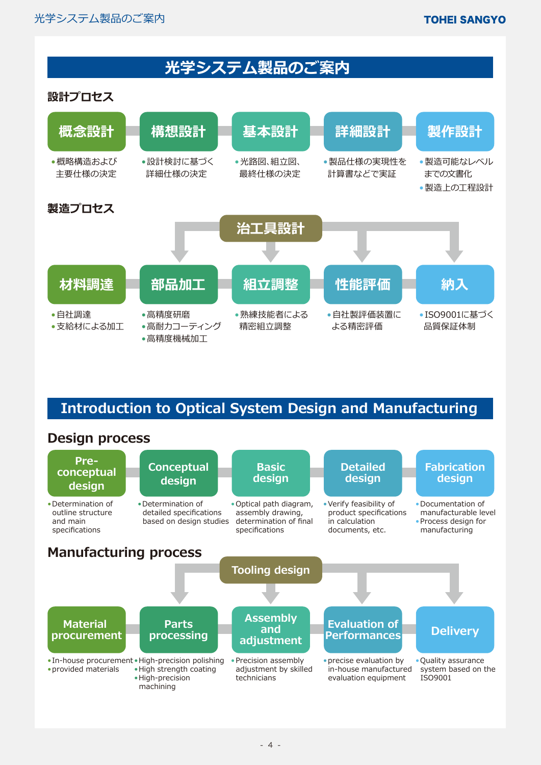## **光学システム製品のご案内**

## **設計プロセス**



## **Introduction to Optical System Design and Manufacturing**

## **Design process**